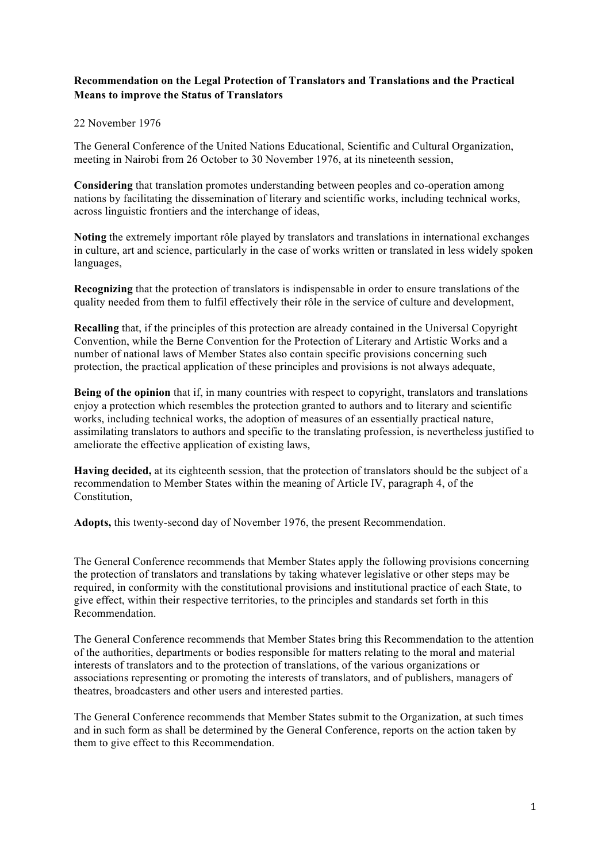# **Recommendation on the Legal Protection of Translators and Translations and the Practical Means to improve the Status of Translators**

## 22 November 1976

The General Conference of the United Nations Educational, Scientific and Cultural Organization, meeting in Nairobi from 26 October to 30 November 1976, at its nineteenth session,

**Considering** that translation promotes understanding between peoples and co-operation among nations by facilitating the dissemination of literary and scientific works, including technical works, across linguistic frontiers and the interchange of ideas,

**Noting** the extremely important rôle played by translators and translations in international exchanges in culture, art and science, particularly in the case of works written or translated in less widely spoken languages,

**Recognizing** that the protection of translators is indispensable in order to ensure translations of the quality needed from them to fulfil effectively their rôle in the service of culture and development,

**Recalling** that, if the principles of this protection are already contained in the Universal Copyright Convention, while the Berne Convention for the Protection of Literary and Artistic Works and a number of national laws of Member States also contain specific provisions concerning such protection, the practical application of these principles and provisions is not always adequate,

**Being of the opinion** that if, in many countries with respect to copyright, translators and translations enjoy a protection which resembles the protection granted to authors and to literary and scientific works, including technical works, the adoption of measures of an essentially practical nature, assimilating translators to authors and specific to the translating profession, is nevertheless justified to ameliorate the effective application of existing laws,

**Having decided,** at its eighteenth session, that the protection of translators should be the subject of a recommendation to Member States within the meaning of Article IV, paragraph 4, of the Constitution,

**Adopts,** this twenty-second day of November 1976, the present Recommendation.

The General Conference recommends that Member States apply the following provisions concerning the protection of translators and translations by taking whatever legislative or other steps may be required, in conformity with the constitutional provisions and institutional practice of each State, to give effect, within their respective territories, to the principles and standards set forth in this Recommendation.

The General Conference recommends that Member States bring this Recommendation to the attention of the authorities, departments or bodies responsible for matters relating to the moral and material interests of translators and to the protection of translations, of the various organizations or associations representing or promoting the interests of translators, and of publishers, managers of theatres, broadcasters and other users and interested parties.

The General Conference recommends that Member States submit to the Organization, at such times and in such form as shall be determined by the General Conference, reports on the action taken by them to give effect to this Recommendation.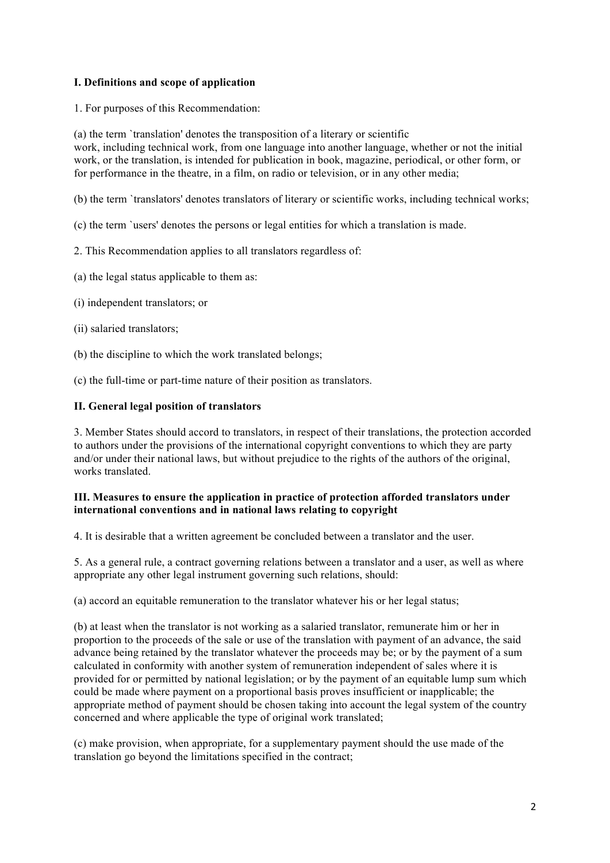# **I. Definitions and scope of application**

1. For purposes of this Recommendation:

(a) the term `translation' denotes the transposition of a literary or scientific work, including technical work, from one language into another language, whether or not the initial work, or the translation, is intended for publication in book, magazine, periodical, or other form, or for performance in the theatre, in a film, on radio or television, or in any other media;

(b) the term `translators' denotes translators of literary or scientific works, including technical works;

(c) the term `users' denotes the persons or legal entities for which a translation is made.

2. This Recommendation applies to all translators regardless of:

(a) the legal status applicable to them as:

(i) independent translators; or

(ii) salaried translators;

(b) the discipline to which the work translated belongs;

(c) the full-time or part-time nature of their position as translators.

#### **II. General legal position of translators**

3. Member States should accord to translators, in respect of their translations, the protection accorded to authors under the provisions of the international copyright conventions to which they are party and/or under their national laws, but without prejudice to the rights of the authors of the original, works translated.

#### **III. Measures to ensure the application in practice of protection afforded translators under international conventions and in national laws relating to copyright**

4. It is desirable that a written agreement be concluded between a translator and the user.

5. As a general rule, a contract governing relations between a translator and a user, as well as where appropriate any other legal instrument governing such relations, should:

(a) accord an equitable remuneration to the translator whatever his or her legal status;

(b) at least when the translator is not working as a salaried translator, remunerate him or her in proportion to the proceeds of the sale or use of the translation with payment of an advance, the said advance being retained by the translator whatever the proceeds may be; or by the payment of a sum calculated in conformity with another system of remuneration independent of sales where it is provided for or permitted by national legislation; or by the payment of an equitable lump sum which could be made where payment on a proportional basis proves insufficient or inapplicable; the appropriate method of payment should be chosen taking into account the legal system of the country concerned and where applicable the type of original work translated;

(c) make provision, when appropriate, for a supplementary payment should the use made of the translation go beyond the limitations specified in the contract;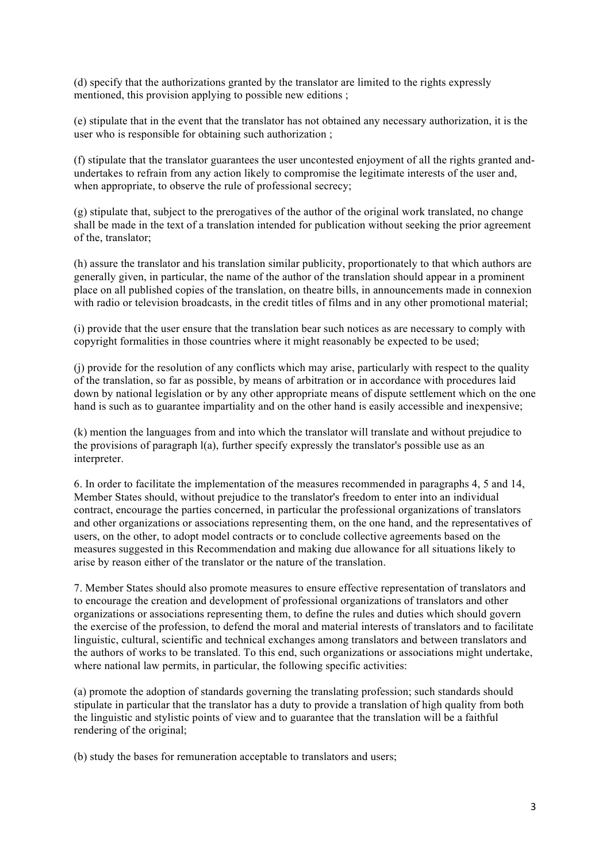(d) specify that the authorizations granted by the translator are limited to the rights expressly mentioned, this provision applying to possible new editions ;

(e) stipulate that in the event that the translator has not obtained any necessary authorization, it is the user who is responsible for obtaining such authorization ;

(f) stipulate that the translator guarantees the user uncontested enjoyment of all the rights granted andundertakes to refrain from any action likely to compromise the legitimate interests of the user and, when appropriate, to observe the rule of professional secrecy;

(g) stipulate that, subject to the prerogatives of the author of the original work translated, no change shall be made in the text of a translation intended for publication without seeking the prior agreement of the, translator;

(h) assure the translator and his translation similar publicity, proportionately to that which authors are generally given, in particular, the name of the author of the translation should appear in a prominent place on all published copies of the translation, on theatre bills, in announcements made in connexion with radio or television broadcasts, in the credit titles of films and in any other promotional material;

(i) provide that the user ensure that the translation bear such notices as are necessary to comply with copyright formalities in those countries where it might reasonably be expected to be used;

(j) provide for the resolution of any conflicts which may arise, particularly with respect to the quality of the translation, so far as possible, by means of arbitration or in accordance with procedures laid down by national legislation or by any other appropriate means of dispute settlement which on the one hand is such as to guarantee impartiality and on the other hand is easily accessible and inexpensive;

(k) mention the languages from and into which the translator will translate and without prejudice to the provisions of paragraph l(a), further specify expressly the translator's possible use as an interpreter.

6. In order to facilitate the implementation of the measures recommended in paragraphs 4, 5 and 14, Member States should, without prejudice to the translator's freedom to enter into an individual contract, encourage the parties concerned, in particular the professional organizations of translators and other organizations or associations representing them, on the one hand, and the representatives of users, on the other, to adopt model contracts or to conclude collective agreements based on the measures suggested in this Recommendation and making due allowance for all situations likely to arise by reason either of the translator or the nature of the translation.

7. Member States should also promote measures to ensure effective representation of translators and to encourage the creation and development of professional organizations of translators and other organizations or associations representing them, to define the rules and duties which should govern the exercise of the profession, to defend the moral and material interests of translators and to facilitate linguistic, cultural, scientific and technical exchanges among translators and between translators and the authors of works to be translated. To this end, such organizations or associations might undertake, where national law permits, in particular, the following specific activities:

(a) promote the adoption of standards governing the translating profession; such standards should stipulate in particular that the translator has a duty to provide a translation of high quality from both the linguistic and stylistic points of view and to guarantee that the translation will be a faithful rendering of the original;

(b) study the bases for remuneration acceptable to translators and users;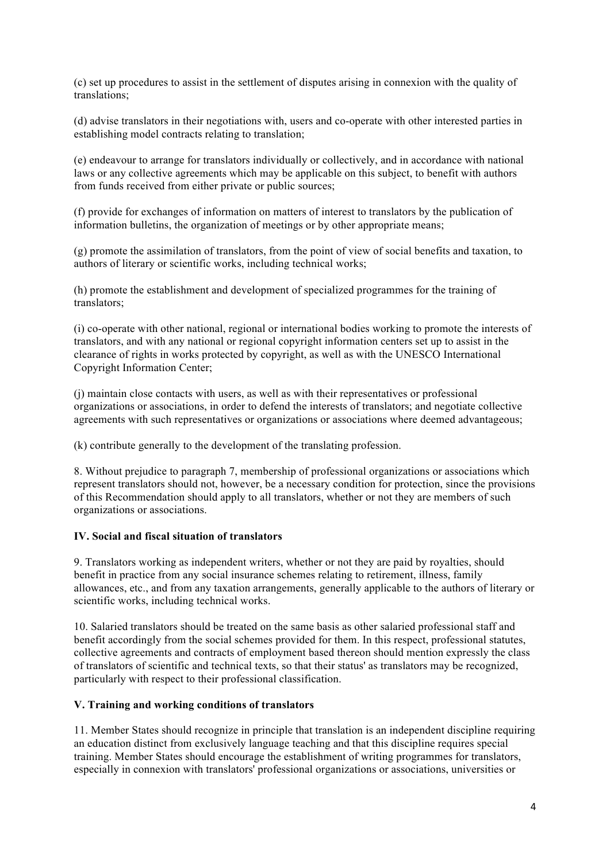(c) set up procedures to assist in the settlement of disputes arising in connexion with the quality of translations;

(d) advise translators in their negotiations with, users and co-operate with other interested parties in establishing model contracts relating to translation;

(e) endeavour to arrange for translators individually or collectively, and in accordance with national laws or any collective agreements which may be applicable on this subject, to benefit with authors from funds received from either private or public sources;

(f) provide for exchanges of information on matters of interest to translators by the publication of information bulletins, the organization of meetings or by other appropriate means;

(g) promote the assimilation of translators, from the point of view of social benefits and taxation, to authors of literary or scientific works, including technical works;

(h) promote the establishment and development of specialized programmes for the training of translators;

(i) co-operate with other national, regional or international bodies working to promote the interests of translators, and with any national or regional copyright information centers set up to assist in the clearance of rights in works protected by copyright, as well as with the UNESCO International Copyright Information Center;

(j) maintain close contacts with users, as well as with their representatives or professional organizations or associations, in order to defend the interests of translators; and negotiate collective agreements with such representatives or organizations or associations where deemed advantageous;

(k) contribute generally to the development of the translating profession.

8. Without prejudice to paragraph 7, membership of professional organizations or associations which represent translators should not, however, be a necessary condition for protection, since the provisions of this Recommendation should apply to all translators, whether or not they are members of such organizations or associations.

## **IV. Social and fiscal situation of translators**

9. Translators working as independent writers, whether or not they are paid by royalties, should benefit in practice from any social insurance schemes relating to retirement, illness, family allowances, etc., and from any taxation arrangements, generally applicable to the authors of literary or scientific works, including technical works.

10. Salaried translators should be treated on the same basis as other salaried professional staff and benefit accordingly from the social schemes provided for them. In this respect, professional statutes, collective agreements and contracts of employment based thereon should mention expressly the class of translators of scientific and technical texts, so that their status' as translators may be recognized, particularly with respect to their professional classification.

## **V. Training and working conditions of translators**

11. Member States should recognize in principle that translation is an independent discipline requiring an education distinct from exclusively language teaching and that this discipline requires special training. Member States should encourage the establishment of writing programmes for translators, especially in connexion with translators' professional organizations or associations, universities or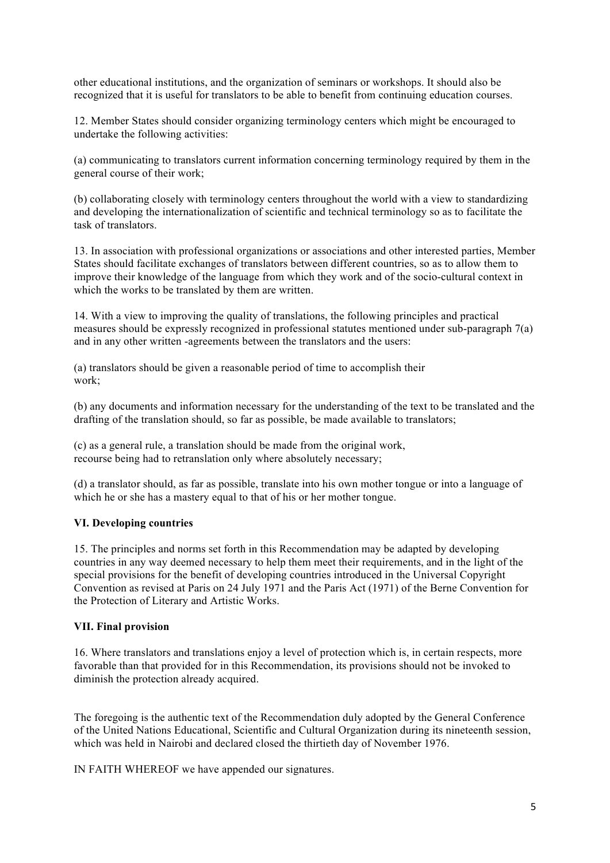other educational institutions, and the organization of seminars or workshops. It should also be recognized that it is useful for translators to be able to benefit from continuing education courses.

12. Member States should consider organizing terminology centers which might be encouraged to undertake the following activities:

(a) communicating to translators current information concerning terminology required by them in the general course of their work;

(b) collaborating closely with terminology centers throughout the world with a view to standardizing and developing the internationalization of scientific and technical terminology so as to facilitate the task of translators.

13. In association with professional organizations or associations and other interested parties, Member States should facilitate exchanges of translators between different countries, so as to allow them to improve their knowledge of the language from which they work and of the socio-cultural context in which the works to be translated by them are written.

14. With a view to improving the quality of translations, the following principles and practical measures should be expressly recognized in professional statutes mentioned under sub-paragraph 7(a) and in any other written -agreements between the translators and the users:

(a) translators should be given a reasonable period of time to accomplish their work;

(b) any documents and information necessary for the understanding of the text to be translated and the drafting of the translation should, so far as possible, be made available to translators;

(c) as a general rule, a translation should be made from the original work, recourse being had to retranslation only where absolutely necessary;

(d) a translator should, as far as possible, translate into his own mother tongue or into a language of which he or she has a mastery equal to that of his or her mother tongue.

## **VI. Developing countries**

15. The principles and norms set forth in this Recommendation may be adapted by developing countries in any way deemed necessary to help them meet their requirements, and in the light of the special provisions for the benefit of developing countries introduced in the Universal Copyright Convention as revised at Paris on 24 July 1971 and the Paris Act (1971) of the Berne Convention for the Protection of Literary and Artistic Works.

## **VII. Final provision**

16. Where translators and translations enjoy a level of protection which is, in certain respects, more favorable than that provided for in this Recommendation, its provisions should not be invoked to diminish the protection already acquired.

The foregoing is the authentic text of the Recommendation duly adopted by the General Conference of the United Nations Educational, Scientific and Cultural Organization during its nineteenth session, which was held in Nairobi and declared closed the thirtieth day of November 1976.

IN FAITH WHEREOF we have appended our signatures.